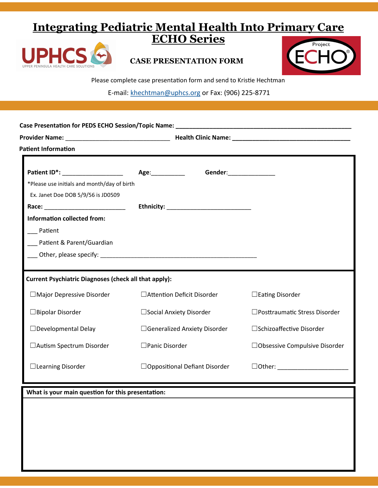# **Integrating Pediatric Mental Health Into Primary Care ECHO Series**



### **CASE PRESENTATION FORM**



Please complete case presentation form and send to Kristie Hechtman

E-mail: [khechtman@uphcs.org](mailto:khechtman@uphcs.org) or Fax: (906) 225-8771

| <b>Patient Information</b>                                   |                          |                                      |                                 |  |
|--------------------------------------------------------------|--------------------------|--------------------------------------|---------------------------------|--|
| Patient ID*: ___________________                             | Age:___________          | Gender:_________________             |                                 |  |
| *Please use initials and month/day of birth                  |                          |                                      |                                 |  |
| Ex. Janet Doe DOB 5/9/56 is JD0509                           |                          |                                      |                                 |  |
|                                                              |                          |                                      |                                 |  |
| <b>Information collected from:</b>                           |                          |                                      |                                 |  |
| Patient                                                      |                          |                                      |                                 |  |
| ___ Patient & Parent/Guardian                                |                          |                                      |                                 |  |
|                                                              |                          |                                      |                                 |  |
|                                                              |                          |                                      |                                 |  |
| <b>Current Psychiatric Diagnoses (check all that apply):</b> |                          |                                      |                                 |  |
| □ Major Depressive Disorder                                  |                          | □ Attention Deficit Disorder         | $\Box$ Eating Disorder          |  |
| □ Bipolar Disorder                                           |                          | $\Box$ Social Anxiety Disorder       | □ Posttraumatic Stress Disorder |  |
| □ Developmental Delay                                        |                          | □ Generalized Anxiety Disorder       | □ Schizoaffective Disorder      |  |
| □ Autism Spectrum Disorder                                   | $\square$ Panic Disorder |                                      | □Obsessive Compulsive Disorder  |  |
| $\Box$ Learning Disorder                                     |                          | $\Box$ Oppositional Defiant Disorder |                                 |  |
| What is your main question for this presentation:            |                          |                                      |                                 |  |
|                                                              |                          |                                      |                                 |  |
|                                                              |                          |                                      |                                 |  |
|                                                              |                          |                                      |                                 |  |
|                                                              |                          |                                      |                                 |  |
|                                                              |                          |                                      |                                 |  |
|                                                              |                          |                                      |                                 |  |
|                                                              |                          |                                      |                                 |  |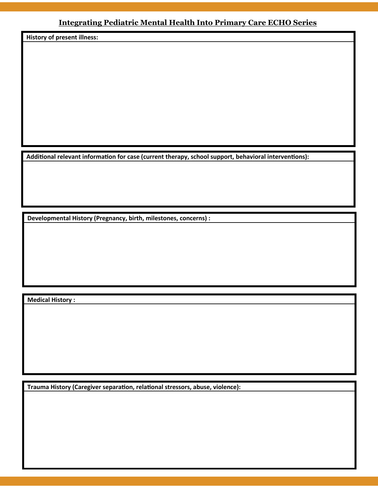### **Integrating Pediatric Mental Health Into Primary Care ECHO Series**

**History of present illness:**

**Additional relevant information for case (current therapy, school support, behavioral interventions):**

**Developmental History (Pregnancy, birth, milestones, concerns) :**

**Medical History :**

**Trauma History (Caregiver separation, relational stressors, abuse, violence):**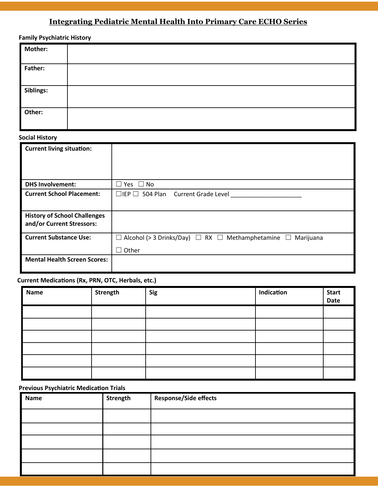## **Integrating Pediatric Mental Health Into Primary Care ECHO Series**

| <b>Mother:</b> |  |
|----------------|--|
| Father:        |  |
| Siblings:      |  |
| Other:         |  |

#### **Social History**

| <b>Current living situation:</b>                                 |                                                                               |
|------------------------------------------------------------------|-------------------------------------------------------------------------------|
|                                                                  |                                                                               |
|                                                                  |                                                                               |
| <b>DHS Involvement:</b>                                          | $\Box$ No<br>Yes                                                              |
|                                                                  |                                                                               |
| <b>Current School Placement:</b>                                 | 504 Plan Current Grade Level<br>$\Box$ iep $\Box$                             |
|                                                                  |                                                                               |
| <b>History of School Challenges</b><br>and/or Current Stressors: |                                                                               |
| <b>Current Substance Use:</b>                                    | Alcohol (> 3 Drinks/Day) $\Box$ RX $\Box$ Methamphetamine $\Box$<br>Marijuana |
|                                                                  | Other                                                                         |
| <b>Mental Health Screen Scores:</b>                              |                                                                               |

#### **Current Medications (Rx, PRN, OTC, Herbals, etc.)**

| <b>Name</b> | Strength | <b>Sig</b> | Indication | <b>Start</b><br>Date |
|-------------|----------|------------|------------|----------------------|
|             |          |            |            |                      |
|             |          |            |            |                      |
|             |          |            |            |                      |
|             |          |            |            |                      |
|             |          |            |            |                      |
|             |          |            |            |                      |

### **Previous Psychiatric Medication Trials**

| Name | Strength | <b>Response/Side effects</b> |
|------|----------|------------------------------|
|      |          |                              |
|      |          |                              |
|      |          |                              |
|      |          |                              |
|      |          |                              |